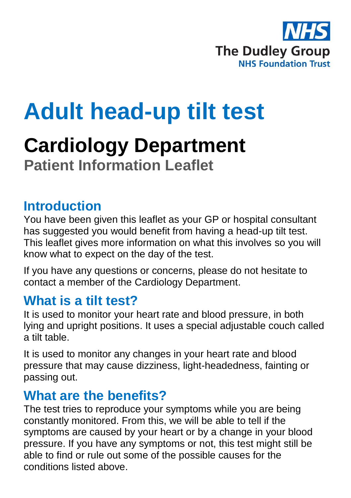

# **Adult head-up tilt test**

## **Cardiology Department Patient Information Leaflet**

#### **Introduction**

You have been given this leaflet as your GP or hospital consultant has suggested you would benefit from having a head-up tilt test. This leaflet gives more information on what this involves so you will know what to expect on the day of the test.

If you have any questions or concerns, please do not hesitate to contact a member of the Cardiology Department.

#### **What is a tilt test?**

It is used to monitor your heart rate and blood pressure, in both lying and upright positions. It uses a special adjustable couch called a tilt table.

It is used to monitor any changes in your heart rate and blood pressure that may cause dizziness, light-headedness, fainting or passing out.

#### **What are the benefits?**

The test tries to reproduce your symptoms while you are being constantly monitored. From this, we will be able to tell if the symptoms are caused by your heart or by a change in your blood pressure. If you have any symptoms or not, this test might still be able to find or rule out some of the possible causes for the conditions listed above.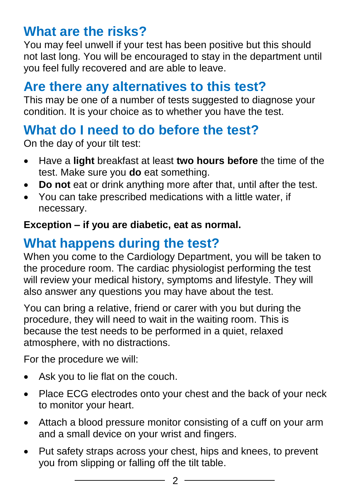#### **What are the risks?**

You may feel unwell if your test has been positive but this should not last long. You will be encouraged to stay in the department until you feel fully recovered and are able to leave.

#### **Are there any alternatives to this test?**

This may be one of a number of tests suggested to diagnose your condition. It is your choice as to whether you have the test.

### **What do I need to do before the test?**

On the day of your tilt test:

- Have a **light** breakfast at least **two hours before** the time of the test. Make sure you **do** eat something.
- **Do not** eat or drink anything more after that, until after the test.
- You can take prescribed medications with a little water, if necessary.

#### **Exception – if you are diabetic, eat as normal.**

## **What happens during the test?**

When you come to the Cardiology Department, you will be taken to the procedure room. The cardiac physiologist performing the test will review your medical history, symptoms and lifestyle. They will also answer any questions you may have about the test.

You can bring a relative, friend or carer with you but during the procedure, they will need to wait in the waiting room. This is because the test needs to be performed in a quiet, relaxed atmosphere, with no distractions.

For the procedure we will:

- Ask you to lie flat on the couch.
- Place ECG electrodes onto your chest and the back of your neck to monitor your heart.
- Attach a blood pressure monitor consisting of a cuff on your arm and a small device on your wrist and fingers.
- Put safety straps across your chest, hips and knees, to prevent you from slipping or falling off the tilt table.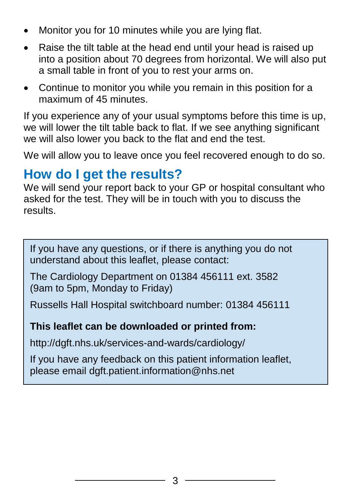- Monitor you for 10 minutes while you are lying flat.
- Raise the tilt table at the head end until your head is raised up into a position about 70 degrees from horizontal. We will also put a small table in front of you to rest your arms on.
- Continue to monitor you while you remain in this position for a maximum of 45 minutes.

If you experience any of your usual symptoms before this time is up, we will lower the tilt table back to flat. If we see anything significant we will also lower you back to the flat and end the test.

We will allow you to leave once you feel recovered enough to do so.

#### **How do I get the results?**

We will send your report back to your GP or hospital consultant who asked for the test. They will be in touch with you to discuss the results.

If you have any questions, or if there is anything you do not understand about this leaflet, please contact:

The Cardiology Department on 01384 456111 ext. 3582 (9am to 5pm, Monday to Friday)

Russells Hall Hospital switchboard number: 01384 456111

#### **This leaflet can be downloaded or printed from:**

http://dgft.nhs.uk/services-and-wards/cardiology/

If you have any feedback on this patient information leaflet, please email dgft.patient.information@nhs.net